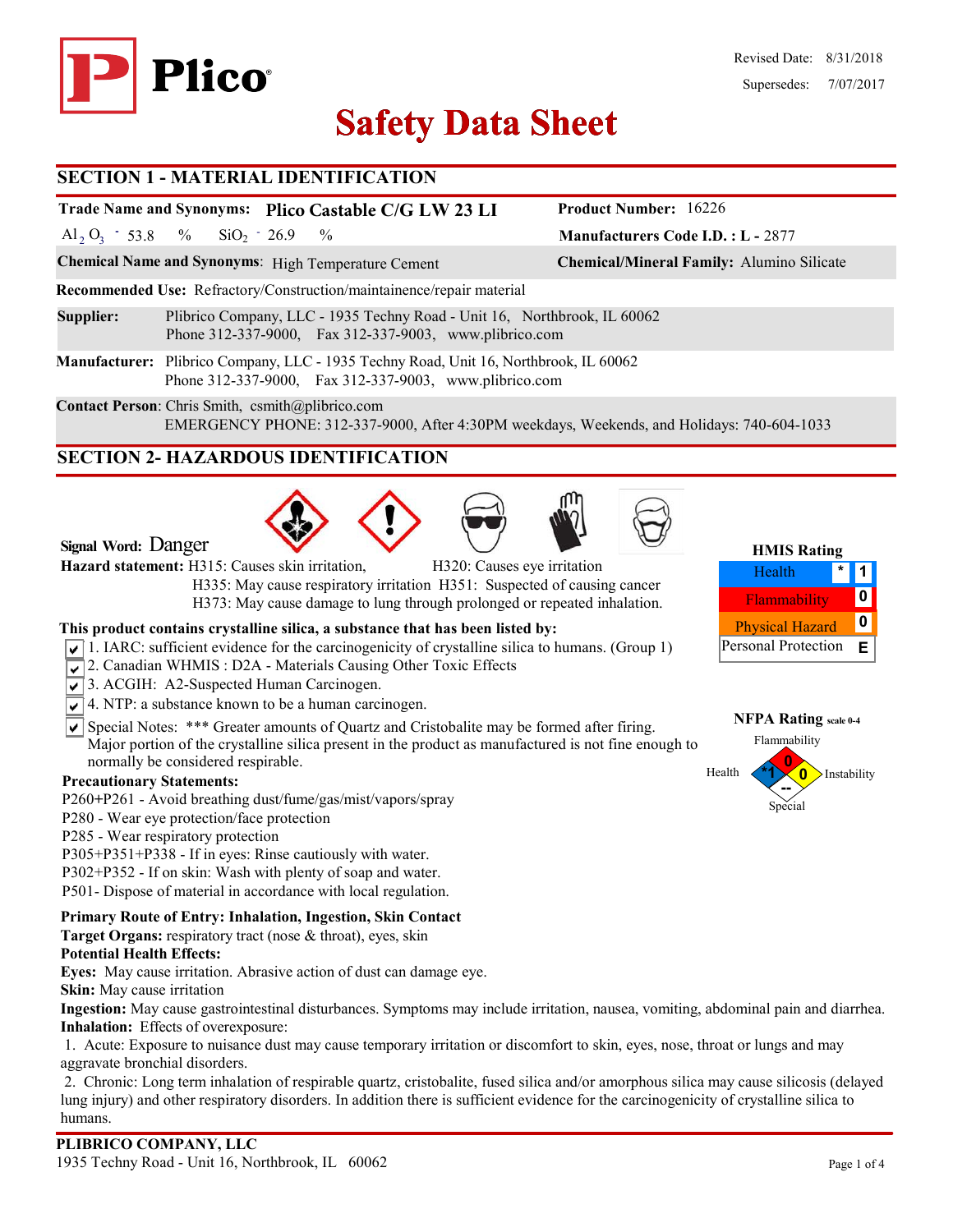

# **Safety Data Sheet Safety Data**

### **SECTION 1 - MATERIAL IDENTIFICATION**

# **Trade Name and Synonyms: Plico Castable C/G LW 23 LI**

Al<sub>2</sub> O<sub>3</sub> - 53.8 % SiO<sub>2</sub> - 26.9 %  $SiO_2$  - 26.9

**Chemical Name and Synonyms**: High Temperature Cement **Chemical/Mineral Family:** Alumino Silicate

**Recommended Use:** Refractory/Construction/maintainence/repair material

**Supplier:** Plibrico Company, LLC - 1935 Techny Road - Unit 16, Northbrook, IL 60062 Phone 312-337-9000, Fax 312-337-9003, www.plibrico.com

**Manufacturer:** Plibrico Company, LLC - 1935 Techny Road, Unit 16, Northbrook, IL 60062 Phone 312-337-9000, Fax 312-337-9003, www.plibrico.com

**Contact Person**: Chris Smith, csmith@plibrico.com EMERGENCY PHONE: 312-337-9000, After 4:30PM weekdays, Weekends, and Holidays: 740-604-1033

# **SECTION 2- HAZARDOUS IDENTIFICATION**







**Hazard statement:** H315: Causes skin irritation, H320: Causes eye irritation

 H335: May cause respiratory irritation H351: Suspected of causing cancer H373: May cause damage to lung through prolonged or repeated inhalation.

### **This product contains crystalline silica, a substance that has been listed by:**

- $\sqrt{1}$ . IARC: sufficient evidence for the carcinogenicity of crystalline silica to humans. (Group 1)
- 2. Canadian WHMIS: D2A Materials Causing Other Toxic Effects
- 3. ACGIH: A2-Suspected Human Carcinogen.
- $\sqrt{\sqrt{4}}$ . NTP: a substance known to be a human carcinogen.
- $\overline{\mathsf{S}}$  Special Notes: \*\*\* Greater amounts of Quartz and Cristobalite may be formed after firing. Major portion of the crystalline silica present in the product as manufactured is not fine enough to normally be considered respirable.

### **Precautionary Statements:**

- P260**+**P261 Avoid breathing dust/fume/gas/mist/vapors/spray
- P280 Wear eye protection/face protection
- P285 Wear respiratory protection
- P305+P351+P338 If in eyes: Rinse cautiously with water.
- P302+P352 If on skin: Wash with plenty of soap and water.
- P501- Dispose of material in accordance with local regulation.

### **Primary Route of Entry: Inhalation, Ingestion, Skin Contact**

**Target Organs:** respiratory tract (nose & throat), eyes, skin

### **Potential Health Effects:**

**Eyes:** May cause irritation. Abrasive action of dust can damage eye.

**Skin:** May cause irritation

**Ingestion:** May cause gastrointestinal disturbances. Symptoms may include irritation, nausea, vomiting, abdominal pain and diarrhea. **Inhalation:** Effects of overexposure:

1. Acute: Exposure to nuisance dust may cause temporary irritation or discomfort to skin, eyes, nose, throat or lungs and may aggravate bronchial disorders.

2. Chronic: Long term inhalation of respirable quartz, cristobalite, fused silica and/or amorphous silica may cause silicosis (delayed lung injury) and other respiratory disorders. In addition there is sufficient evidence for the carcinogenicity of crystalline silica to humans.

**Manufacturers Code I.D. : L -** 2877

**Product Number:** 16226



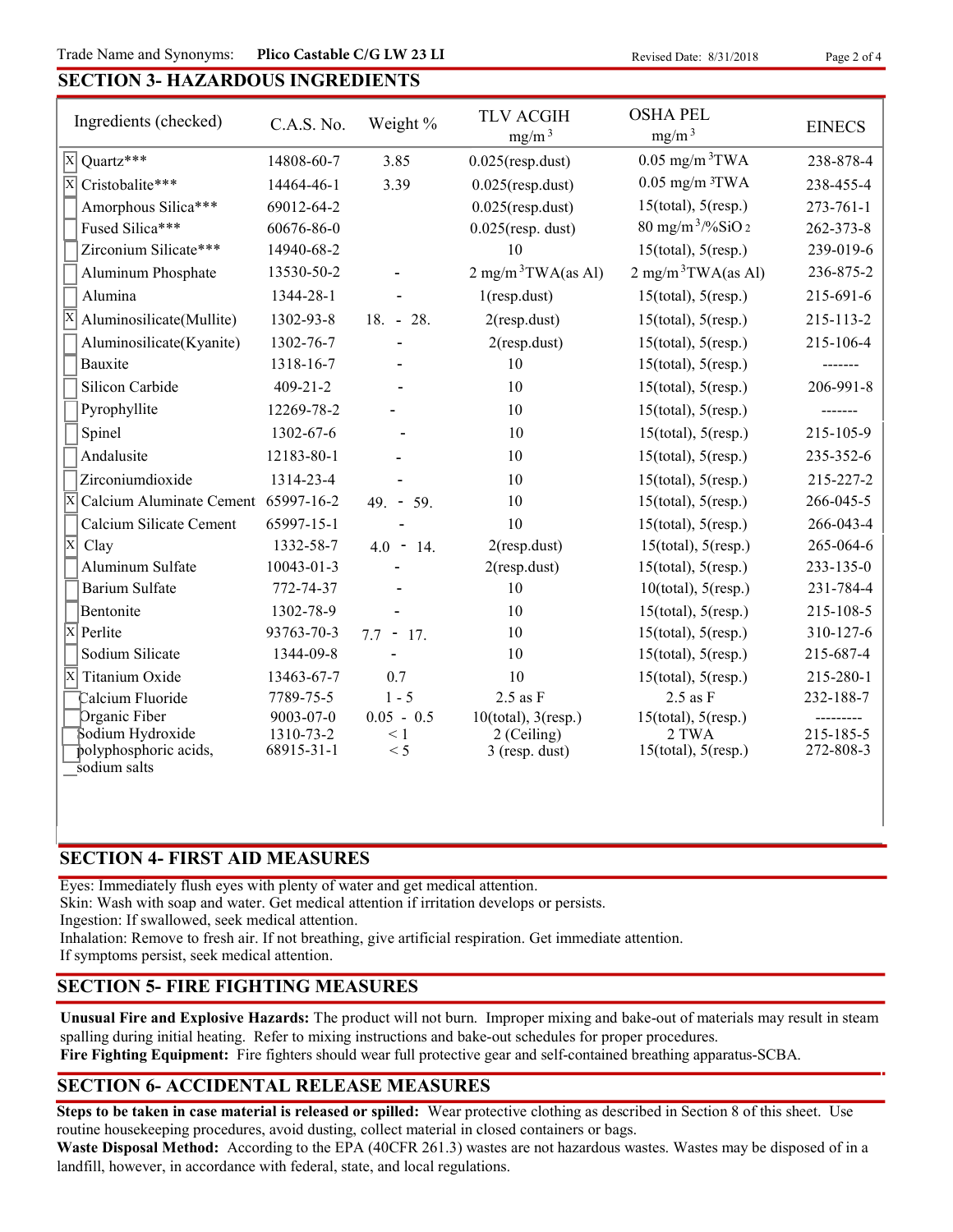### **SECTION 3- HAZARDOUS INGREDIENTS**

| Ingredients (checked)                                          | C.A.S. No.              | Weight %        | <b>TLV ACGIH</b><br>mg/m <sup>3</sup> | <b>OSHA PEL</b><br>mg/m <sup>3</sup> | <b>EINECS</b>          |
|----------------------------------------------------------------|-------------------------|-----------------|---------------------------------------|--------------------------------------|------------------------|
| Quartz***<br>$ \mathbf{x} $                                    | 14808-60-7              | 3.85            | $0.025$ (resp.dust)                   | $0.05$ mg/m $3$ TWA                  | 238-878-4              |
| $\overline{\mathrm{X}}$<br>Cristobalite***                     | 14464-46-1              | 3.39            | $0.025$ (resp.dust)                   | $0.05$ mg/m $3$ TWA                  | 238-455-4              |
| Amorphous Silica***                                            | 69012-64-2              |                 | $0.025$ (resp.dust)                   | $15$ (total), $5$ (resp.)            | $273 - 761 - 1$        |
| Fused Silica***                                                | 60676-86-0              |                 | $0.025$ (resp. dust)                  | $80 \text{ mg/m}^3$ /%SiO 2          | 262-373-8              |
| Zirconium Silicate***                                          | 14940-68-2              |                 | 10                                    | $15$ (total), $5$ (resp.)            | 239-019-6              |
| Aluminum Phosphate                                             | 13530-50-2              |                 | $2$ mg/m <sup>3</sup> TWA(as Al)      | $2 \text{ mg/m}^3$ TWA(as Al)        | 236-875-2              |
| Alumina                                                        | 1344-28-1               |                 | $1$ (resp.dust)                       | $15$ (total), $5$ (resp.)            | 215-691-6              |
| Aluminosilicate(Mullite)                                       | 1302-93-8               | $18. - 28.$     | $2$ (resp.dust)                       | $15$ (total), $5$ (resp.)            | 215-113-2              |
| Aluminosilicate(Kyanite)                                       | 1302-76-7               |                 | $2$ (resp.dust)                       | $15$ (total), $5$ (resp.)            | 215-106-4              |
| Bauxite                                                        | 1318-16-7               |                 | 10                                    | $15$ (total), $5$ (resp.)            | -------                |
| Silicon Carbide                                                | $409 - 21 - 2$          |                 | 10                                    | $15$ (total), $5$ (resp.)            | 206-991-8              |
| Pyrophyllite                                                   | 12269-78-2              |                 | 10                                    | $15$ (total), $5$ (resp.)            | -------                |
| Spinel                                                         | 1302-67-6               |                 | 10                                    | $15$ (total), $5$ (resp.)            | 215-105-9              |
| Andalusite                                                     | 12183-80-1              |                 | 10                                    | $15$ (total), $5$ (resp.)            | 235-352-6              |
| Zirconiumdioxide                                               | 1314-23-4               |                 | 10                                    | $15$ (total), $5$ (resp.)            | 215-227-2              |
| $\overline{\mathrm{X}}$<br>Calcium Aluminate Cement 65997-16-2 |                         | $49. - 59.$     | 10                                    | $15$ (total), $5$ (resp.)            | 266-045-5              |
| Calcium Silicate Cement                                        | 65997-15-1              |                 | 10                                    | $15$ (total), $5$ (resp.)            | 266-043-4              |
| $\overline{\mathbf{x}}$<br>Clay                                | 1332-58-7               | $4.0 - 14.$     | $2$ (resp.dust)                       | $15$ (total), $5$ (resp.)            | 265-064-6              |
| Aluminum Sulfate                                               | $10043 - 01 - 3$        |                 | $2$ (resp.dust)                       | $15$ (total), $5$ (resp.)            | $233 - 135 - 0$        |
| <b>Barium Sulfate</b>                                          | 772-74-37               |                 | 10                                    | $10$ (total), $5$ (resp.)            | 231-784-4              |
| Bentonite                                                      | 1302-78-9               |                 | 10                                    | $15$ (total), $5$ (resp.)            | 215-108-5              |
| $\overline{\mathrm{X}}$<br>Perlite                             | 93763-70-3              | $7.7 - 17.$     | 10                                    | $15$ (total), $5$ (resp.)            | 310-127-6              |
| Sodium Silicate                                                | 1344-09-8               |                 | 10                                    | $15$ (total), $5$ (resp.)            | 215-687-4              |
| X<br>Titanium Oxide                                            | 13463-67-7              | 0.7             | 10                                    | $15$ (total), $5$ (resp.)            | 215-280-1              |
| Calcium Fluoride                                               | 7789-75-5               | $1 - 5$         | $2.5$ as $F$                          | $2.5$ as $F$                         | 232-188-7              |
| Organic Fiber                                                  | 9003-07-0               | $0.05 - 0.5$    | $10$ (total), $3$ (resp.)             | $15$ (total), $5$ (resp.)            |                        |
| Sodium Hydroxide<br>polyphosphoric acids,                      | 1310-73-2<br>68915-31-1 | $\leq 1$<br>< 5 | 2 (Ceiling)<br>$3$ (resp. dust)       | 2 TWA<br>$15$ (total), $5$ (resp.)   | 215-185-5<br>272-808-3 |
| sodium salts                                                   |                         |                 |                                       |                                      |                        |

### **SECTION 4- FIRST AID MEASURES**

Eyes: Immediately flush eyes with plenty of water and get medical attention.

Skin: Wash with soap and water. Get medical attention if irritation develops or persists.

Ingestion: If swallowed, seek medical attention.

Inhalation: Remove to fresh air. If not breathing, give artificial respiration. Get immediate attention.

If symptoms persist, seek medical attention.

### **SECTION 5- FIRE FIGHTING MEASURES**

**Unusual Fire and Explosive Hazards:** The product will not burn. Improper mixing and bake-out of materials may result in steam spalling during initial heating. Refer to mixing instructions and bake-out schedules for proper procedures.

**Fire Fighting Equipment:** Fire fighters should wear full protective gear and self-contained breathing apparatus-SCBA.

# **SECTION 6- ACCIDENTAL RELEASE MEASURES**

**Steps to be taken in case material is released or spilled:** Wear protective clothing as described in Section 8 of this sheet. Use routine housekeeping procedures, avoid dusting, collect material in closed containers or bags.

**Waste Disposal Method:** According to the EPA (40CFR 261.3) wastes are not hazardous wastes. Wastes may be disposed of in a landfill, however, in accordance with federal, state, and local regulations.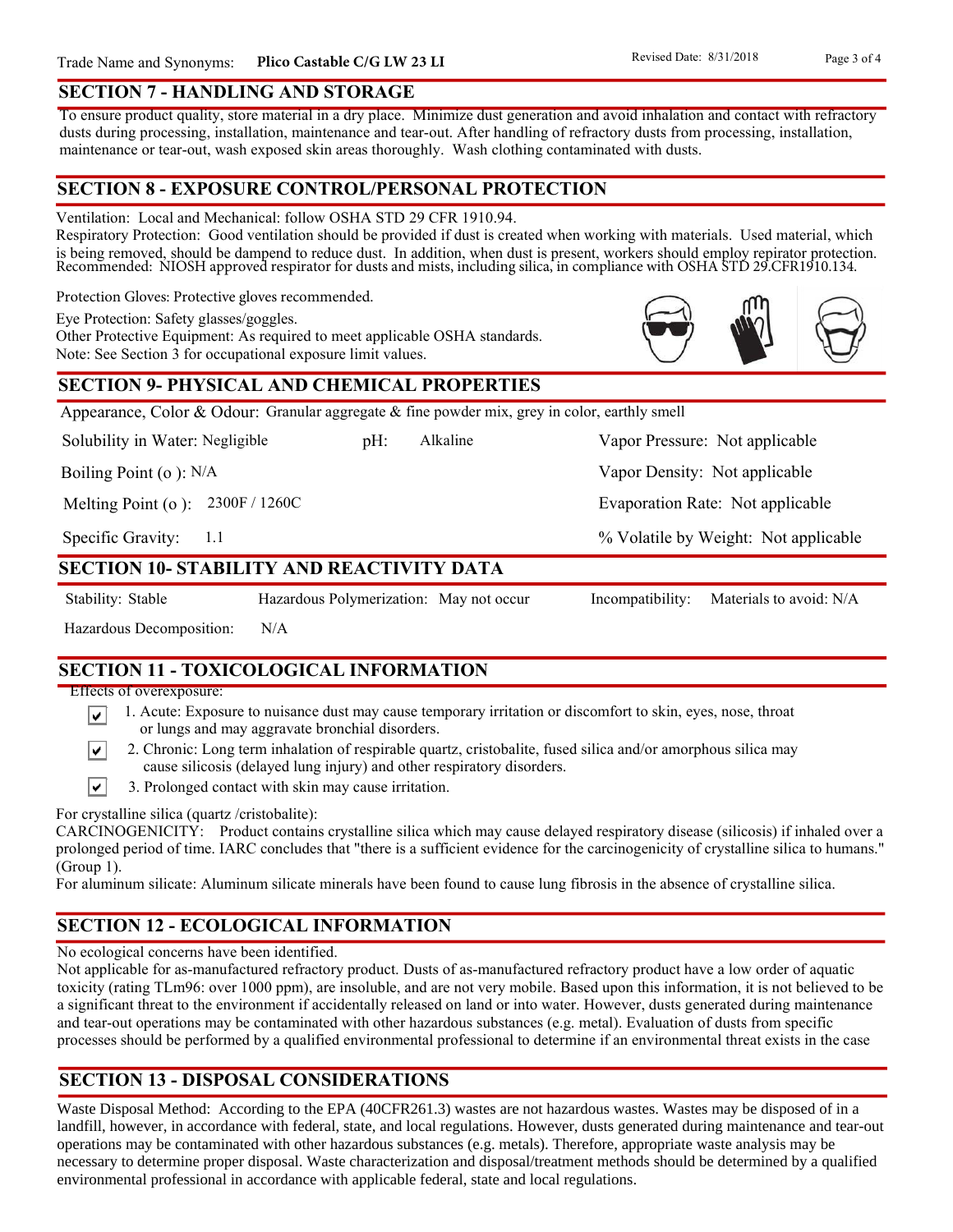### **SECTION 7 - HANDLING AND STORAGE**

To ensure product quality, store material in a dry place. Minimize dust generation and avoid inhalation and contact with refractory dusts during processing, installation, maintenance and tear-out. After handling of refractory dusts from processing, installation, maintenance or tear-out, wash exposed skin areas thoroughly. Wash clothing contaminated with dusts.

### **SECTION 8 - EXPOSURE CONTROL/PERSONAL PROTECTION**

Ventilation: Local and Mechanical: follow OSHA STD 29 CFR 1910.94.

Respiratory Protection: Good ventilation should be provided if dust is created when working with materials. Used material, which is being removed, should be dampend to reduce dust. In addition, when dust is present, workers should employ repirator protection. Recommended: NIOSH approved respirator for dusts and mists, including silica, in compliance with OSHA STD 29.CFR1910.134.

Protection Gloves: Protective gloves recommended.

Eye Protection: Safety glasses/goggles.

Other Protective Equipment: As required to meet applicable OSHA standards. Note: See Section 3 for occupational exposure limit values.

### **SECTION 9- PHYSICAL AND CHEMICAL PROPERTIES**

Appearance, Color & Odour: Granular aggregate  $\&$  fine powder mix, grey in color, earthly smell

Solubility in Water: Negligible

pH: Alkaline Vapor Pressure: Not applicable Alkaline

Boiling Point (o ): N/A

Melting Point (o ): 2300F / 1260C

1.1 Specific Gravity:

### **SECTION 10- STABILITY AND REACTIVITY DATA**

∣V∣

∣V∣

Stability: Stable Hazardous Polymerization: May not occur Incompatibility: Materials to avoid: N/A

Hazardous Decomposition: N/A

**SECTION 11 - TOXICOLOGICAL INFORMATION**

Effects of overexposure:

- 1. Acute: Exposure to nuisance dust may cause temporary irritation or discomfort to skin, eyes, nose, throat or lungs and may aggravate bronchial disorders.
- 2. Chronic: Long term inhalation of respirable quartz, cristobalite, fused silica and/or amorphous silica may cause silicosis (delayed lung injury) and other respiratory disorders.
- $\vert\mathbf{v}\vert$ 3. Prolonged contact with skin may cause irritation.

For crystalline silica (quartz /cristobalite):

CARCINOGENICITY: Product contains crystalline silica which may cause delayed respiratory disease (silicosis) if inhaled over a prolonged period of time. IARC concludes that "there is a sufficient evidence for the carcinogenicity of crystalline silica to humans." (Group 1).

For aluminum silicate: Aluminum silicate minerals have been found to cause lung fibrosis in the absence of crystalline silica.

# **SECTION 12 - ECOLOGICAL INFORMATION**

No ecological concerns have been identified.

Not applicable for as-manufactured refractory product. Dusts of as-manufactured refractory product have a low order of aquatic toxicity (rating TLm96: over 1000 ppm), are insoluble, and are not very mobile. Based upon this information, it is not believed to be a significant threat to the environment if accidentally released on land or into water. However, dusts generated during maintenance and tear-out operations may be contaminated with other hazardous substances (e.g. metal). Evaluation of dusts from specific processes should be performed by a qualified environmental professional to determine if an environmental threat exists in the case

# **SECTION 13 - DISPOSAL CONSIDERATIONS**

Waste Disposal Method: According to the EPA (40CFR261.3) wastes are not hazardous wastes. Wastes may be disposed of in a landfill, however, in accordance with federal, state, and local regulations. However, dusts generated during maintenance and tear-out operations may be contaminated with other hazardous substances (e.g. metals). Therefore, appropriate waste analysis may be necessary to determine proper disposal. Waste characterization and disposal/treatment methods should be determined by a qualified environmental professional in accordance with applicable federal, state and local regulations.



Vapor Density: Not applicable

Evaporation Rate: Not applicable

% Volatile by Weight: Not applicable